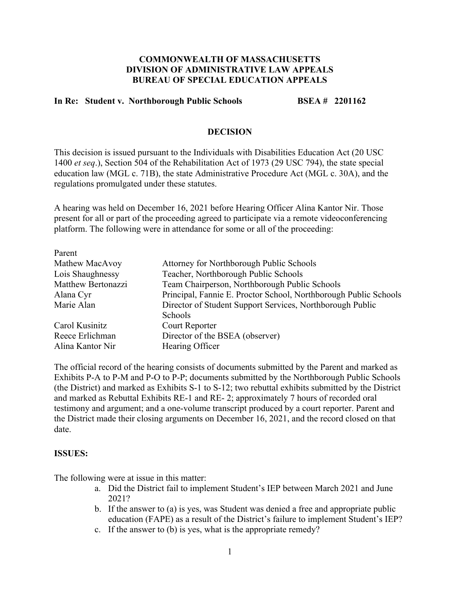### **COMMONWEALTH OF MASSACHUSETTS DIVISION OF ADMINISTRATIVE LAW APPEALS BUREAU OF SPECIAL EDUCATION APPEALS**

## **In Re: Student v. Northborough Public Schools BSEA # 2201162**

#### **DECISION**

This decision is issued pursuant to the Individuals with Disabilities Education Act (20 USC 1400 *et seq*.), Section 504 of the Rehabilitation Act of 1973 (29 USC 794), the state special education law (MGL c. 71B), the state Administrative Procedure Act (MGL c. 30A), and the regulations promulgated under these statutes.

A hearing was held on December 16, 2021 before Hearing Officer Alina Kantor Nir. Those present for all or part of the proceeding agreed to participate via a remote videoconferencing platform. The following were in attendance for some or all of the proceeding:

| Parent             |                                                                  |
|--------------------|------------------------------------------------------------------|
| Mathew MacAvoy     | Attorney for Northborough Public Schools                         |
| Lois Shaughnessy   | Teacher, Northborough Public Schools                             |
| Matthew Bertonazzi | Team Chairperson, Northborough Public Schools                    |
| Alana Cyr          | Principal, Fannie E. Proctor School, Northborough Public Schools |
| Marie Alan         | Director of Student Support Services, Northborough Public        |
|                    | Schools                                                          |
| Carol Kusinitz     | Court Reporter                                                   |
| Reece Erlichman    | Director of the BSEA (observer)                                  |
| Alina Kantor Nir   | Hearing Officer                                                  |

The official record of the hearing consists of documents submitted by the Parent and marked as Exhibits P-A to P-M and P-O to P-P; documents submitted by the Northborough Public Schools (the District) and marked as Exhibits S-1 to S-12; two rebuttal exhibits submitted by the District and marked as Rebuttal Exhibits RE-1 and RE- 2; approximately 7 hours of recorded oral testimony and argument; and a one-volume transcript produced by a court reporter. Parent and the District made their closing arguments on December 16, 2021, and the record closed on that date.

#### **ISSUES:**

The following were at issue in this matter:

- a. Did the District fail to implement Student's IEP between March 2021 and June 2021?
- b. If the answer to (a) is yes, was Student was denied a free and appropriate public education (FAPE) as a result of the District's failure to implement Student's IEP?
- c. If the answer to (b) is yes, what is the appropriate remedy?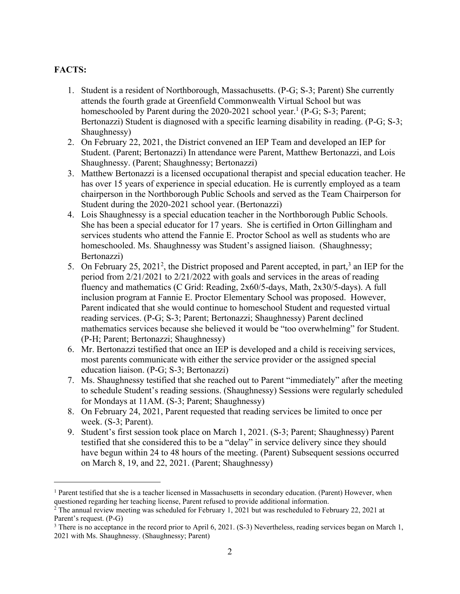## **FACTS:**

- 1. Student is a resident of Northborough, Massachusetts. (P-G; S-3; Parent) She currently attends the fourth grade at Greenfield Commonwealth Virtual School but was homeschooled by Parent during the 2020-2021 school year.<sup>1</sup> (P-G; S-3; Parent; Bertonazzi) Student is diagnosed with a specific learning disability in reading. (P-G; S-3; Shaughnessy)
- 2. On February 22, 2021, the District convened an IEP Team and developed an IEP for Student. (Parent; Bertonazzi) In attendance were Parent, Matthew Bertonazzi, and Lois Shaughnessy. (Parent; Shaughnessy; Bertonazzi)
- 3. Matthew Bertonazzi is a licensed occupational therapist and special education teacher. He has over 15 years of experience in special education. He is currently employed as a team chairperson in the Northborough Public Schools and served as the Team Chairperson for Student during the 2020-2021 school year. (Bertonazzi)
- 4. Lois Shaughnessy is a special education teacher in the Northborough Public Schools. She has been a special educator for 17 years. She is certified in Orton Gillingham and services students who attend the Fannie E. Proctor School as well as students who are homeschooled. Ms. Shaughnessy was Student's assigned liaison. (Shaughnessy; Bertonazzi)
- 5. On February 25, 2021<sup>2</sup>, the District proposed and Parent accepted, in part,<sup>3</sup> an IEP for the period from 2/21/2021 to 2/21/2022 with goals and services in the areas of reading fluency and mathematics (C Grid: Reading, 2x60/5-days, Math, 2x30/5-days). A full inclusion program at Fannie E. Proctor Elementary School was proposed. However, Parent indicated that she would continue to homeschool Student and requested virtual reading services. (P-G; S-3; Parent; Bertonazzi; Shaughnessy) Parent declined mathematics services because she believed it would be "too overwhelming" for Student. (P-H; Parent; Bertonazzi; Shaughnessy)
- 6. Mr. Bertonazzi testified that once an IEP is developed and a child is receiving services, most parents communicate with either the service provider or the assigned special education liaison. (P-G; S-3; Bertonazzi)
- 7. Ms. Shaughnessy testified that she reached out to Parent "immediately" after the meeting to schedule Student's reading sessions. (Shaughnessy) Sessions were regularly scheduled for Mondays at 11AM. (S-3; Parent; Shaughnessy)
- 8. On February 24, 2021, Parent requested that reading services be limited to once per week. (S-3; Parent).
- 9. Student's first session took place on March 1, 2021. (S-3; Parent; Shaughnessy) Parent testified that she considered this to be a "delay" in service delivery since they should have begun within 24 to 48 hours of the meeting. (Parent) Subsequent sessions occurred on March 8, 19, and 22, 2021. (Parent; Shaughnessy)

<sup>&</sup>lt;sup>1</sup> Parent testified that she is a teacher licensed in Massachusetts in secondary education. (Parent) However, when questioned regarding her teaching license, Parent refused to provide additional information.

 $2$  The annual review meeting was scheduled for February 1, 2021 but was rescheduled to February 22, 2021 at Parent's request. (P-G)

<sup>&</sup>lt;sup>3</sup> There is no acceptance in the record prior to April 6, 2021. (S-3) Nevertheless, reading services began on March 1, 2021 with Ms. Shaughnessy. (Shaughnessy; Parent)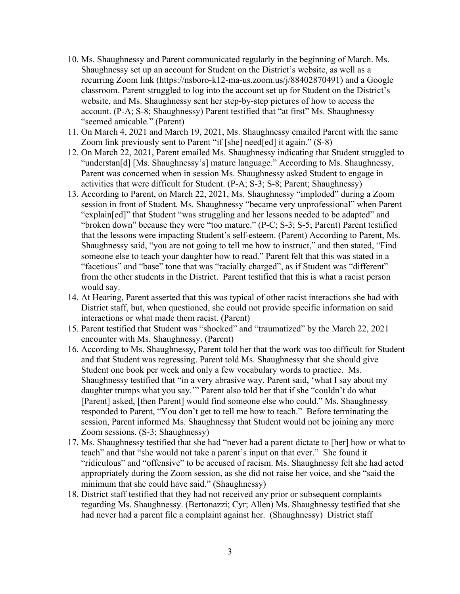- 10. Ms. Shaughnessy and Parent communicated regularly in the beginning of March. Ms. Shaughnessy set up an account for Student on the District's website, as well as a recurring Zoom link (https://nsboro-k12-ma-us.zoom.us/j/88402870491) and a Google classroom. Parent struggled to log into the account set up for Student on the District's website, and Ms. Shaughnessy sent her step-by-step pictures of how to access the account. (P-A; S-8; Shaughnessy) Parent testified that "at first" Ms. Shaughnessy "seemed amicable." (Parent)
- 11. On March 4, 2021 and March 19, 2021, Ms. Shaughnessy emailed Parent with the same Zoom link previously sent to Parent "if [she] need[ed] it again." (S-8)
- 12. On March 22, 2021, Parent emailed Ms. Shaughnessy indicating that Student struggled to "understan[d] [Ms. Shaughnessy's] mature language." According to Ms. Shaughnessy, Parent was concerned when in session Ms. Shaughnessy asked Student to engage in activities that were difficult for Student. (P-A; S-3; S-8; Parent; Shaughnessy)
- 13. According to Parent, on March 22, 2021, Ms. Shaughnessy "imploded" during a Zoom session in front of Student. Ms. Shaughnessy "became very unprofessional" when Parent "explain[ed]" that Student "was struggling and her lessons needed to be adapted" and "broken down" because they were "too mature." (P-C; S-3; S-5; Parent) Parent testified that the lessons were impacting Student's self-esteem. (Parent) According to Parent, Ms. Shaughnessy said, "you are not going to tell me how to instruct," and then stated, "Find someone else to teach your daughter how to read." Parent felt that this was stated in a "facetious" and "base" tone that was "racially charged", as if Student was "different" from the other students in the District. Parent testified that this is what a racist person would say.
- 14. At Hearing, Parent asserted that this was typical of other racist interactions she had with District staff, but, when questioned, she could not provide specific information on said interactions or what made them racist. (Parent)
- 15. Parent testified that Student was "shocked" and "traumatized" by the March 22, 2021 encounter with Ms. Shaughnessy. (Parent)
- 16. According to Ms. Shaughnessy, Parent told her that the work was too difficult for Student and that Student was regressing. Parent told Ms. Shaughnessy that she should give Student one book per week and only a few vocabulary words to practice. Ms. Shaughnessy testified that "in a very abrasive way, Parent said, 'what I say about my daughter trumps what you say.'" Parent also told her that if she "couldn't do what [Parent] asked, [then Parent] would find someone else who could." Ms. Shaughnessy responded to Parent, "You don't get to tell me how to teach." Before terminating the session, Parent informed Ms. Shaughnessy that Student would not be joining any more Zoom sessions. (S-3; Shaughnessy)
- 17. Ms. Shaughnessy testified that she had "never had a parent dictate to [her] how or what to teach" and that "she would not take a parent's input on that ever." She found it "ridiculous" and "offensive" to be accused of racism. Ms. Shaughnessy felt she had acted appropriately during the Zoom session, as she did not raise her voice, and she "said the minimum that she could have said." (Shaughnessy)
- 18. District staff testified that they had not received any prior or subsequent complaints regarding Ms. Shaughnessy. (Bertonazzi; Cyr; Allen) Ms. Shaughnessy testified that she had never had a parent file a complaint against her. (Shaughnessy) District staff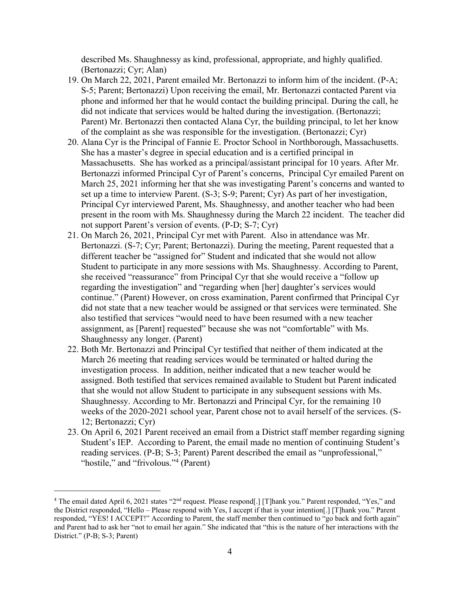described Ms. Shaughnessy as kind, professional, appropriate, and highly qualified. (Bertonazzi; Cyr; Alan)

- 19. On March 22, 2021, Parent emailed Mr. Bertonazzi to inform him of the incident. (P-A; S-5; Parent; Bertonazzi) Upon receiving the email, Mr. Bertonazzi contacted Parent via phone and informed her that he would contact the building principal. During the call, he did not indicate that services would be halted during the investigation. (Bertonazzi; Parent) Mr. Bertonazzi then contacted Alana Cyr, the building principal, to let her know of the complaint as she was responsible for the investigation. (Bertonazzi; Cyr)
- 20. Alana Cyr is the Principal of Fannie E. Proctor School in Northborough, Massachusetts. She has a master's degree in special education and is a certified principal in Massachusetts. She has worked as a principal/assistant principal for 10 years. After Mr. Bertonazzi informed Principal Cyr of Parent's concerns, Principal Cyr emailed Parent on March 25, 2021 informing her that she was investigating Parent's concerns and wanted to set up a time to interview Parent. (S-3; S-9; Parent; Cyr) As part of her investigation, Principal Cyr interviewed Parent, Ms. Shaughnessy, and another teacher who had been present in the room with Ms. Shaughnessy during the March 22 incident. The teacher did not support Parent's version of events. (P-D; S-7; Cyr)
- 21. On March 26, 2021, Principal Cyr met with Parent. Also in attendance was Mr. Bertonazzi. (S-7; Cyr; Parent; Bertonazzi). During the meeting, Parent requested that a different teacher be "assigned for" Student and indicated that she would not allow Student to participate in any more sessions with Ms. Shaughnessy. According to Parent, she received "reassurance" from Principal Cyr that she would receive a "follow up regarding the investigation" and "regarding when [her] daughter's services would continue." (Parent) However, on cross examination, Parent confirmed that Principal Cyr did not state that a new teacher would be assigned or that services were terminated. She also testified that services "would need to have been resumed with a new teacher assignment, as [Parent] requested" because she was not "comfortable" with Ms. Shaughnessy any longer. (Parent)
- 22. Both Mr. Bertonazzi and Principal Cyr testified that neither of them indicated at the March 26 meeting that reading services would be terminated or halted during the investigation process. In addition, neither indicated that a new teacher would be assigned. Both testified that services remained available to Student but Parent indicated that she would not allow Student to participate in any subsequent sessions with Ms. Shaughnessy. According to Mr. Bertonazzi and Principal Cyr, for the remaining 10 weeks of the 2020-2021 school year, Parent chose not to avail herself of the services. (S-12; Bertonazzi; Cyr)
- 23. On April 6, 2021 Parent received an email from a District staff member regarding signing Student's IEP. According to Parent, the email made no mention of continuing Student's reading services. (P-B; S-3; Parent) Parent described the email as "unprofessional," "hostile," and "frivolous."<sup>4</sup> (Parent)

<sup>&</sup>lt;sup>4</sup> The email dated April 6, 2021 states "2<sup>nd</sup> request. Please respond[.] [T]hank you." Parent responded, "Yes," and the District responded, "Hello – Please respond with Yes, I accept if that is your intention[.] [T]hank you." Parent responded, "YES! I ACCEPT!" According to Parent, the staff member then continued to "go back and forth again" and Parent had to ask her "not to email her again." She indicated that "this is the nature of her interactions with the District." (P-B; S-3; Parent)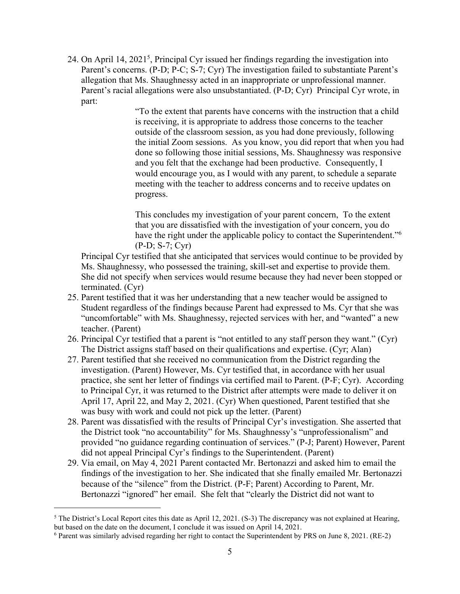24. On April 14, 2021<sup>5</sup>, Principal Cyr issued her findings regarding the investigation into Parent's concerns. (P-D; P-C; S-7; Cyr) The investigation failed to substantiate Parent's allegation that Ms. Shaughnessy acted in an inappropriate or unprofessional manner. Parent's racial allegations were also unsubstantiated. (P-D; Cyr) Principal Cyr wrote, in part:

> "To the extent that parents have concerns with the instruction that a child is receiving, it is appropriate to address those concerns to the teacher outside of the classroom session, as you had done previously, following the initial Zoom sessions. As you know, you did report that when you had done so following those initial sessions, Ms. Shaughnessy was responsive and you felt that the exchange had been productive. Consequently, I would encourage you, as I would with any parent, to schedule a separate meeting with the teacher to address concerns and to receive updates on progress.

This concludes my investigation of your parent concern, To the extent that you are dissatisfied with the investigation of your concern, you do have the right under the applicable policy to contact the Superintendent."<sup>6</sup> (P-D; S-7; Cyr)

Principal Cyr testified that she anticipated that services would continue to be provided by Ms. Shaughnessy, who possessed the training, skill-set and expertise to provide them. She did not specify when services would resume because they had never been stopped or terminated. (Cyr)

- 25. Parent testified that it was her understanding that a new teacher would be assigned to Student regardless of the findings because Parent had expressed to Ms. Cyr that she was "uncomfortable" with Ms. Shaughnessy, rejected services with her, and "wanted" a new teacher. (Parent)
- 26. Principal Cyr testified that a parent is "not entitled to any staff person they want." (Cyr) The District assigns staff based on their qualifications and expertise. (Cyr; Alan)
- 27. Parent testified that she received no communication from the District regarding the investigation. (Parent) However, Ms. Cyr testified that, in accordance with her usual practice, she sent her letter of findings via certified mail to Parent. (P-F; Cyr). According to Principal Cyr, it was returned to the District after attempts were made to deliver it on April 17, April 22, and May 2, 2021. (Cyr) When questioned, Parent testified that she was busy with work and could not pick up the letter. (Parent)
- 28. Parent was dissatisfied with the results of Principal Cyr's investigation. She asserted that the District took "no accountability" for Ms. Shaughnessy's "unprofessionalism" and provided "no guidance regarding continuation of services." (P-J; Parent) However, Parent did not appeal Principal Cyr's findings to the Superintendent. (Parent)
- 29. Via email, on May 4, 2021 Parent contacted Mr. Bertonazzi and asked him to email the findings of the investigation to her. She indicated that she finally emailed Mr. Bertonazzi because of the "silence" from the District. (P-F; Parent) According to Parent, Mr. Bertonazzi "ignored" her email. She felt that "clearly the District did not want to

 $5$  The District's Local Report cites this date as April 12, 2021. (S-3) The discrepancy was not explained at Hearing, but based on the date on the document, I conclude it was issued on April 14, 2021.

<sup>6</sup> Parent was similarly advised regarding her right to contact the Superintendent by PRS on June 8, 2021. (RE-2)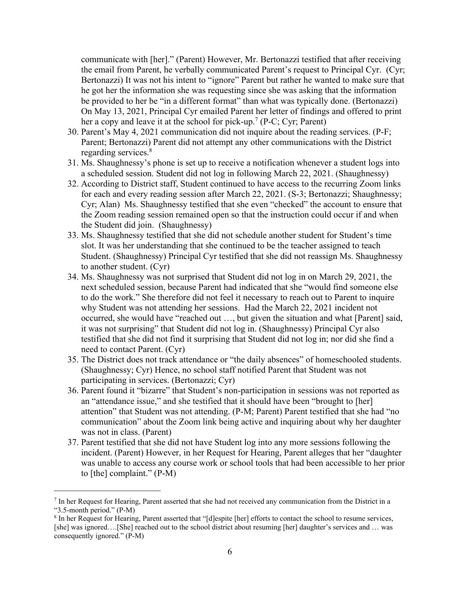communicate with [her]." (Parent) However, Mr. Bertonazzi testified that after receiving the email from Parent, he verbally communicated Parent's request to Principal Cyr. (Cyr; Bertonazzi) It was not his intent to "ignore" Parent but rather he wanted to make sure that he got her the information she was requesting since she was asking that the information be provided to her be "in a different format" than what was typically done. (Bertonazzi) On May 13, 2021, Principal Cyr emailed Parent her letter of findings and offered to print her a copy and leave it at the school for pick-up.<sup>7</sup> (P-C; Cyr; Parent)

- 30. Parent's May 4, 2021 communication did not inquire about the reading services. (P-F; Parent; Bertonazzi) Parent did not attempt any other communications with the District regarding services.<sup>8</sup>
- 31. Ms. Shaughnessy's phone is set up to receive a notification whenever a student logs into a scheduled session. Student did not log in following March 22, 2021. (Shaughnessy)
- 32. According to District staff, Student continued to have access to the recurring Zoom links for each and every reading session after March 22, 2021. (S-3; Bertonazzi; Shaughnessy; Cyr; Alan) Ms. Shaughnessy testified that she even "checked" the account to ensure that the Zoom reading session remained open so that the instruction could occur if and when the Student did join. (Shaughnessy)
- 33. Ms. Shaughnessy testified that she did not schedule another student for Student's time slot. It was her understanding that she continued to be the teacher assigned to teach Student. (Shaughnessy) Principal Cyr testified that she did not reassign Ms. Shaughnessy to another student. (Cyr)
- 34. Ms. Shaughnessy was not surprised that Student did not log in on March 29, 2021, the next scheduled session, because Parent had indicated that she "would find someone else to do the work." She therefore did not feel it necessary to reach out to Parent to inquire why Student was not attending her sessions. Had the March 22, 2021 incident not occurred, she would have "reached out …, but given the situation and what [Parent] said, it was not surprising" that Student did not log in. (Shaughnessy) Principal Cyr also testified that she did not find it surprising that Student did not log in; nor did she find a need to contact Parent. (Cyr)
- 35. The District does not track attendance or "the daily absences" of homeschooled students. (Shaughnessy; Cyr) Hence, no school staff notified Parent that Student was not participating in services. (Bertonazzi; Cyr)
- 36. Parent found it "bizarre" that Student's non-participation in sessions was not reported as an "attendance issue," and she testified that it should have been "brought to [her] attention" that Student was not attending. (P-M; Parent) Parent testified that she had "no communication" about the Zoom link being active and inquiring about why her daughter was not in class. (Parent)
- 37. Parent testified that she did not have Student log into any more sessions following the incident. (Parent) However, in her Request for Hearing, Parent alleges that her "daughter was unable to access any course work or school tools that had been accessible to her prior to [the] complaint." (P-M)

<sup>7</sup> In her Request for Hearing, Parent asserted that she had not received any communication from the District in a "3.5-month period." (P-M)

<sup>&</sup>lt;sup>8</sup> In her Request for Hearing, Parent asserted that "[d]espite [her] efforts to contact the school to resume services, [she] was ignored….[She] reached out to the school district about resuming [her] daughter's services and … was consequently ignored." (P-M)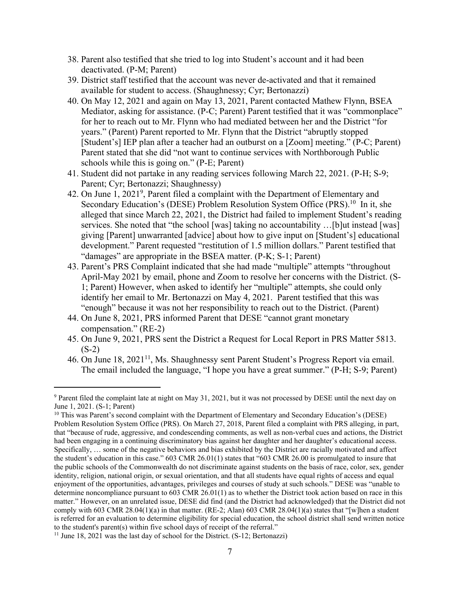- 38. Parent also testified that she tried to log into Student's account and it had been deactivated. (P-M; Parent)
- 39. District staff testified that the account was never de-activated and that it remained available for student to access. (Shaughnessy; Cyr; Bertonazzi)
- 40. On May 12, 2021 and again on May 13, 2021, Parent contacted Mathew Flynn, BSEA Mediator, asking for assistance. (P-C; Parent) Parent testified that it was "commonplace" for her to reach out to Mr. Flynn who had mediated between her and the District "for years." (Parent) Parent reported to Mr. Flynn that the District "abruptly stopped [Student's] IEP plan after a teacher had an outburst on a [Zoom] meeting." (P-C; Parent) Parent stated that she did "not want to continue services with Northborough Public schools while this is going on." (P-E; Parent)
- 41. Student did not partake in any reading services following March 22, 2021. (P-H; S-9; Parent; Cyr; Bertonazzi; Shaughnessy)
- 42. On June 1, 2021<sup>9</sup>, Parent filed a complaint with the Department of Elementary and Secondary Education's (DESE) Problem Resolution System Office (PRS).<sup>10</sup> In it, she alleged that since March 22, 2021, the District had failed to implement Student's reading services. She noted that "the school [was] taking no accountability …[b]ut instead [was] giving [Parent] unwarranted [advice] about how to give input on [Student's] educational development." Parent requested "restitution of 1.5 million dollars." Parent testified that "damages" are appropriate in the BSEA matter. (P-K; S-1; Parent)
- 43. Parent's PRS Complaint indicated that she had made "multiple" attempts "throughout April-May 2021 by email, phone and Zoom to resolve her concerns with the District. (S-1; Parent) However, when asked to identify her "multiple" attempts, she could only identify her email to Mr. Bertonazzi on May 4, 2021. Parent testified that this was "enough" because it was not her responsibility to reach out to the District. (Parent)
- 44. On June 8, 2021, PRS informed Parent that DESE "cannot grant monetary compensation." (RE-2)
- 45. On June 9, 2021, PRS sent the District a Request for Local Report in PRS Matter 5813.  $(S-2)$
- 46. On June 18, 2021<sup>11</sup>, Ms. Shaughnessy sent Parent Student's Progress Report via email. The email included the language, "I hope you have a great summer." (P-H; S-9; Parent)

<sup>9</sup> Parent filed the complaint late at night on May 31, 2021, but it was not processed by DESE until the next day on June 1, 2021. (S-1; Parent)

<sup>&</sup>lt;sup>10</sup> This was Parent's second complaint with the Department of Elementary and Secondary Education's (DESE) Problem Resolution System Office (PRS). On March 27, 2018, Parent filed a complaint with PRS alleging, in part, that "because of rude, aggressive, and condescending comments, as well as non-verbal cues and actions, the District had been engaging in a continuing discriminatory bias against her daughter and her daughter's educational access. Specifically, … some of the negative behaviors and bias exhibited by the District are racially motivated and affect the student's education in this case." 603 CMR 26.01(1) states that "603 CMR 26.00 is promulgated to insure that the public schools of the Commonwealth do not discriminate against students on the basis of race, color, sex, gender identity, religion, national origin, or sexual orientation, and that all students have equal rights of access and equal enjoyment of the opportunities, advantages, privileges and courses of study at such schools." DESE was "unable to determine noncompliance pursuant to 603 CMR 26.01(1) as to whether the District took action based on race in this matter." However, on an unrelated issue, DESE did find (and the District had acknowledged) that the District did not comply with 603 CMR 28.04(1)(a) in that matter. (RE-2; Alan) 603 CMR 28.04(1)(a) states that "[w]hen a student is referred for an evaluation to determine eligibility for special education, the school district shall send written notice to the student's parent(s) within five school days of receipt of the referral."

<sup>&</sup>lt;sup>11</sup> June 18, 2021 was the last day of school for the District. (S-12; Bertonazzi)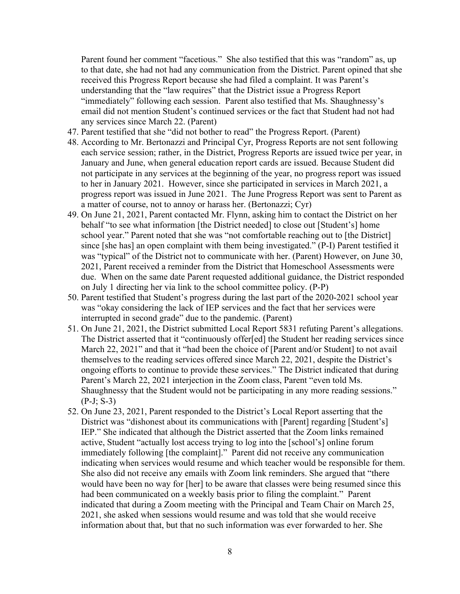Parent found her comment "facetious." She also testified that this was "random" as, up to that date, she had not had any communication from the District. Parent opined that she received this Progress Report because she had filed a complaint. It was Parent's understanding that the "law requires" that the District issue a Progress Report "immediately" following each session. Parent also testified that Ms. Shaughnessy's email did not mention Student's continued services or the fact that Student had not had any services since March 22. (Parent)

- 47. Parent testified that she "did not bother to read" the Progress Report. (Parent)
- 48. According to Mr. Bertonazzi and Principal Cyr, Progress Reports are not sent following each service session; rather, in the District, Progress Reports are issued twice per year, in January and June, when general education report cards are issued. Because Student did not participate in any services at the beginning of the year, no progress report was issued to her in January 2021. However, since she participated in services in March 2021, a progress report was issued in June 2021. The June Progress Report was sent to Parent as a matter of course, not to annoy or harass her. (Bertonazzi; Cyr)
- 49. On June 21, 2021, Parent contacted Mr. Flynn, asking him to contact the District on her behalf "to see what information [the District needed] to close out [Student's] home school year." Parent noted that she was "not comfortable reaching out to [the District] since [she has] an open complaint with them being investigated." (P-I) Parent testified it was "typical" of the District not to communicate with her. (Parent) However, on June 30, 2021, Parent received a reminder from the District that Homeschool Assessments were due. When on the same date Parent requested additional guidance, the District responded on July 1 directing her via link to the school committee policy. (P-P)
- 50. Parent testified that Student's progress during the last part of the 2020-2021 school year was "okay considering the lack of IEP services and the fact that her services were interrupted in second grade" due to the pandemic. (Parent)
- 51. On June 21, 2021, the District submitted Local Report 5831 refuting Parent's allegations. The District asserted that it "continuously offer[ed] the Student her reading services since March 22, 2021" and that it "had been the choice of [Parent and/or Student] to not avail themselves to the reading services offered since March 22, 2021, despite the District's ongoing efforts to continue to provide these services." The District indicated that during Parent's March 22, 2021 interjection in the Zoom class, Parent "even told Ms. Shaughnessy that the Student would not be participating in any more reading sessions." (P-J; S-3)
- 52. On June 23, 2021, Parent responded to the District's Local Report asserting that the District was "dishonest about its communications with [Parent] regarding [Student's] IEP." She indicated that although the District asserted that the Zoom links remained active, Student "actually lost access trying to log into the [school's] online forum immediately following [the complaint]." Parent did not receive any communication indicating when services would resume and which teacher would be responsible for them. She also did not receive any emails with Zoom link reminders. She argued that "there would have been no way for [her] to be aware that classes were being resumed since this had been communicated on a weekly basis prior to filing the complaint." Parent indicated that during a Zoom meeting with the Principal and Team Chair on March 25, 2021, she asked when sessions would resume and was told that she would receive information about that, but that no such information was ever forwarded to her. She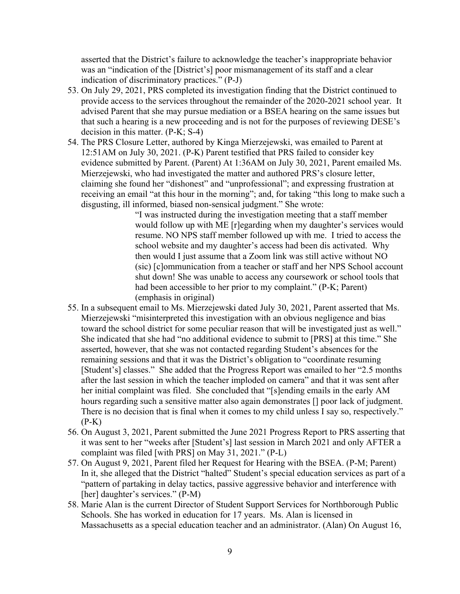asserted that the District's failure to acknowledge the teacher's inappropriate behavior was an "indication of the [District's] poor mismanagement of its staff and a clear indication of discriminatory practices." (P-J)

- 53. On July 29, 2021, PRS completed its investigation finding that the District continued to provide access to the services throughout the remainder of the 2020-2021 school year. It advised Parent that she may pursue mediation or a BSEA hearing on the same issues but that such a hearing is a new proceeding and is not for the purposes of reviewing DESE's decision in this matter. (P-K; S-4)
- 54. The PRS Closure Letter, authored by Kinga Mierzejewski, was emailed to Parent at 12:51AM on July 30, 2021. (P-K) Parent testified that PRS failed to consider key evidence submitted by Parent. (Parent) At 1:36AM on July 30, 2021, Parent emailed Ms. Mierzejewski, who had investigated the matter and authored PRS's closure letter, claiming she found her "dishonest" and "unprofessional"; and expressing frustration at receiving an email "at this hour in the morning"; and, for taking "this long to make such a disgusting, ill informed, biased non-sensical judgment." She wrote:

"I was instructed during the investigation meeting that a staff member would follow up with ME [r]egarding when my daughter's services would resume. NO NPS staff member followed up with me. I tried to access the school website and my daughter's access had been dis activated. Why then would I just assume that a Zoom link was still active without NO (sic) [c]ommunication from a teacher or staff and her NPS School account shut down! She was unable to access any coursework or school tools that had been accessible to her prior to my complaint." (P-K; Parent) (emphasis in original)

- 55. In a subsequent email to Ms. Mierzejewski dated July 30, 2021, Parent asserted that Ms. Mierzejewski "misinterpreted this investigation with an obvious negligence and bias toward the school district for some peculiar reason that will be investigated just as well." She indicated that she had "no additional evidence to submit to [PRS] at this time." She asserted, however, that she was not contacted regarding Student's absences for the remaining sessions and that it was the District's obligation to "coordinate resuming [Student's] classes." She added that the Progress Report was emailed to her "2.5 months after the last session in which the teacher imploded on camera" and that it was sent after her initial complaint was filed. She concluded that "[s]ending emails in the early AM hours regarding such a sensitive matter also again demonstrates [] poor lack of judgment. There is no decision that is final when it comes to my child unless I say so, respectively."  $(P-K)$
- 56. On August 3, 2021, Parent submitted the June 2021 Progress Report to PRS asserting that it was sent to her "weeks after [Student's] last session in March 2021 and only AFTER a complaint was filed [with PRS] on May 31, 2021." (P-L)
- 57. On August 9, 2021, Parent filed her Request for Hearing with the BSEA. (P-M; Parent) In it, she alleged that the District "halted" Student's special education services as part of a "pattern of partaking in delay tactics, passive aggressive behavior and interference with [her] daughter's services." (P-M)
- 58. Marie Alan is the current Director of Student Support Services for Northborough Public Schools. She has worked in education for 17 years. Ms. Alan is licensed in Massachusetts as a special education teacher and an administrator. (Alan) On August 16,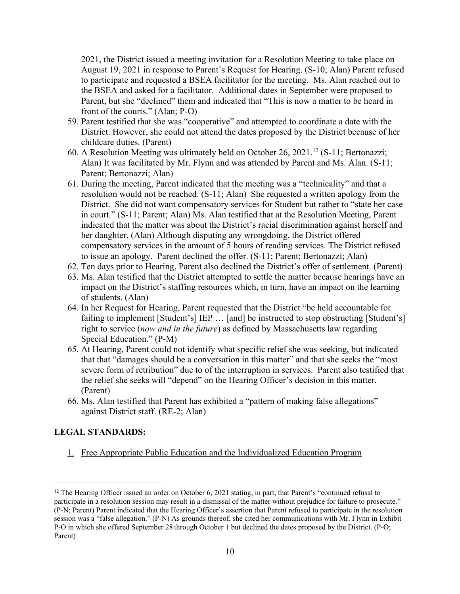2021, the District issued a meeting invitation for a Resolution Meeting to take place on August 19, 2021 in response to Parent's Request for Hearing. (S-10; Alan) Parent refused to participate and requested a BSEA facilitator for the meeting. Ms. Alan reached out to the BSEA and asked for a facilitator. Additional dates in September were proposed to Parent, but she "declined" them and indicated that "This is now a matter to be heard in front of the courts." (Alan; P-O)

- 59. Parent testified that she was "cooperative" and attempted to coordinate a date with the District. However, she could not attend the dates proposed by the District because of her childcare duties. (Parent)
- 60. A Resolution Meeting was ultimately held on October 26, 2021.<sup>12</sup> (S-11; Bertonazzi; Alan) It was facilitated by Mr. Flynn and was attended by Parent and Ms. Alan. (S-11; Parent; Bertonazzi; Alan)
- 61. During the meeting, Parent indicated that the meeting was a "technicality" and that a resolution would not be reached. (S-11; Alan) She requested a written apology from the District. She did not want compensatory services for Student but rather to "state her case in court." (S-11; Parent; Alan) Ms. Alan testified that at the Resolution Meeting, Parent indicated that the matter was about the District's racial discrimination against herself and her daughter. (Alan) Although disputing any wrongdoing, the District offered compensatory services in the amount of 5 hours of reading services. The District refused to issue an apology. Parent declined the offer. (S-11; Parent; Bertonazzi; Alan)
- 62. Ten days prior to Hearing, Parent also declined the District's offer of settlement. (Parent)
- 63. Ms. Alan testified that the District attempted to settle the matter because hearings have an impact on the District's staffing resources which, in turn, have an impact on the learning of students. (Alan)
- 64. In her Request for Hearing, Parent requested that the District "be held accountable for failing to implement [Student's] IEP ... [and] be instructed to stop obstructing [Student's] right to service (*now and in the future*) as defined by Massachusetts law regarding Special Education." (P-M)
- 65. At Hearing, Parent could not identify what specific relief she was seeking, but indicated that that "damages should be a conversation in this matter" and that she seeks the "most severe form of retribution" due to of the interruption in services. Parent also testified that the relief she seeks will "depend" on the Hearing Officer's decision in this matter. (Parent)
- 66. Ms. Alan testified that Parent has exhibited a "pattern of making false allegations" against District staff. (RE-2; Alan)

### **LEGAL STANDARDS:**

1. Free Appropriate Public Education and the Individualized Education Program

<sup>&</sup>lt;sup>12</sup> The Hearing Officer issued an order on October 6, 2021 stating, in part, that Parent's "continued refusal to participate in a resolution session may result in a dismissal of the matter without prejudice for failure to prosecute." (P-N; Parent) Parent indicated that the Hearing Officer's assertion that Parent refused to participate in the resolution session was a "false allegation." (P-N) As grounds thereof, she cited her communications with Mr. Flynn in Exhibit P-O in which she offered September 28 through October 1 but declined the dates proposed by the District. (P-O; Parent)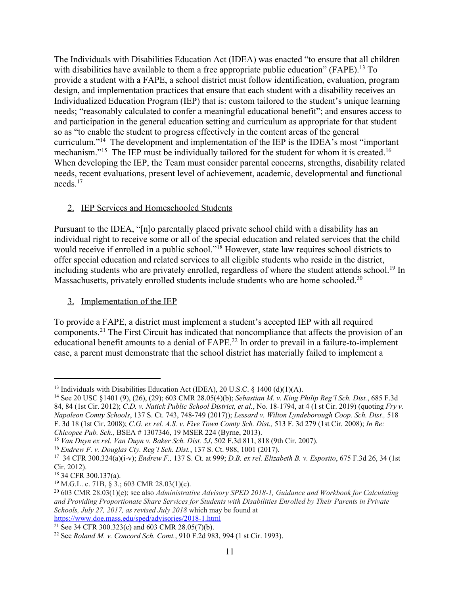The Individuals with Disabilities Education Act (IDEA) was enacted "to ensure that all children with disabilities have available to them a free appropriate public education" (FAPE).<sup>13</sup> To provide a student with a FAPE, a school district must follow identification, evaluation, program design, and implementation practices that ensure that each student with a disability receives an Individualized Education Program (IEP) that is: custom tailored to the student's unique learning needs; "reasonably calculated to confer a meaningful educational benefit"; and ensures access to and participation in the general education setting and curriculum as appropriate for that student so as "to enable the student to progress effectively in the content areas of the general curriculum."<sup>14</sup> The development and implementation of the IEP is the IDEA's most "important mechanism."<sup>15</sup> The IEP must be individually tailored for the student for whom it is created.<sup>16</sup> When developing the IEP, the Team must consider parental concerns, strengths, disability related needs, recent evaluations, present level of achievement, academic, developmental and functional needs.<sup>17</sup>

# 2. **IEP Services and Homeschooled Students**

Pursuant to the IDEA, "[n]o parentally placed private school child with a disability has an individual right to receive some or all of the special education and related services that the child would receive if enrolled in a public school."<sup>18</sup> However, state law requires school districts to offer special education and related services to all eligible students who reside in the district, including students who are privately enrolled, regardless of where the student attends school.<sup>19</sup> In Massachusetts, privately enrolled students include students who are home schooled.<sup>20</sup>

# 3. Implementation of the IEP

To provide a FAPE, a district must implement a student's accepted IEP with all required components.<sup>21</sup> The First Circuit has indicated that noncompliance that affects the provision of an educational benefit amounts to a denial of FAPE.<sup>22</sup> In order to prevail in a failure-to-implement case, a parent must demonstrate that the school district has materially failed to implement a

<sup>21</sup> See 34 CFR 300.323(c) and 603 CMR 28.05(7)(b).

<sup>&</sup>lt;sup>13</sup> Individuals with Disabilities Education Act (IDEA), 20 U.S.C. § 1400 (d)(1)(A).

<sup>14</sup> See 20 USC §1401 (9), (26), (29); 603 CMR 28.05(4)(b); *Sebastian M. v. King Philip Reg'l Sch. Dist.*, 685 F.3d 84, 84 (1st Cir. 2012); *C.D. v. Natick Public School District, et al.*, No. 18-1794, at 4 (1 st Cir. 2019) (quoting *Fry v. Napoleon Comty Schools*, 137 S. Ct. 743, 748-749 (2017)); *Lessard v. Wilton Lyndeborough Coop. Sch. Dist.,* 518 F. 3d 18 (1st Cir. 2008); *C.G. ex rel. A.S. v. Five Town Comty Sch. Dist.,* 513 F. 3d 279 (1st Cir. 2008); *In Re: Chicopee Pub. Sch.,* BSEA # 1307346, 19 MSER 224 (Byrne, 2013).

<sup>15</sup> *Van Duyn ex rel. Van Duyn v. Baker Sch. Dist. 5J*, 502 F.3d 811, 818 (9th Cir. 2007).

<sup>16</sup> *Endrew F. v. Douglas Cty. Reg'l Sch. Dist.*, 137 S. Ct. 988, 1001 (2017).

<sup>17</sup> 34 CFR 300.324(a)(i-v); *Endrew F.,* 137 S. Ct. at 999; *D.B. ex rel. Elizabeth B. v. Esposito*, 675 F.3d 26, 34 (1st Cir. 2012).

<sup>18</sup> 34 CFR 300.137(a).

<sup>&</sup>lt;sup>19</sup> M.G.L. c. 71B,  $\hat{S}$  3.; 603 CMR 28.03(1)(e).

<sup>20</sup> 603 CMR 28.03(1)(e); see also *Administrative Advisory SPED 2018-1, Guidance and Workbook for Calculating and Providing Proportionate Share Services for Students with Disabilities Enrolled by Their Parents in Private Schools, July 27, 2017, as revised July 2018* which may be found at <https://www.doe.mass.edu/sped/advisories/2018-1.html>

<sup>22</sup> See *Roland M. v. Concord Sch. Comt.*, 910 F.2d 983, 994 (1 st Cir. 1993).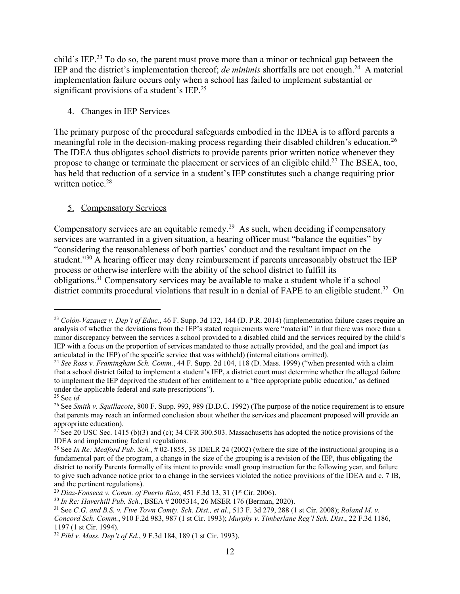child's IEP.<sup>23</sup> To do so, the parent must prove more than a minor or technical gap between the IEP and the district's implementation thereof; *de minimis* shortfalls are not enough.<sup>24</sup> A material implementation failure occurs only when a school has failed to implement substantial or significant provisions of a student's IEP.<sup>25</sup>

### 4. Changes in IEP Services

The primary purpose of the procedural safeguards embodied in the IDEA is to afford parents a meaningful role in the decision-making process regarding their disabled children's education.<sup>26</sup> The IDEA thus obligates school districts to provide parents prior written notice whenever they propose to change or terminate the placement or services of an eligible child.<sup>27</sup> The BSEA, too, has held that reduction of a service in a student's IEP constitutes such a change requiring prior written notice.<sup>28</sup>

## 5. Compensatory Services

Compensatory services are an equitable remedy.<sup>29</sup> As such, when deciding if compensatory services are warranted in a given situation, a hearing officer must "balance the equities" by "considering the reasonableness of both parties' conduct and the resultant impact on the student."<sup>30</sup> A hearing officer may deny reimbursement if parents unreasonably obstruct the IEP process or otherwise interfere with the ability of the school district to fulfill its obligations.<sup>31</sup> Compensatory services may be available to make a student whole if a school district commits procedural violations that result in a denial of FAPE to an eligible student.<sup>32</sup> On

<sup>23</sup> *Colón-Vazquez v. Dep't of Educ*., 46 F. Supp. 3d 132, 144 (D. P.R. 2014) (implementation failure cases require an analysis of whether the deviations from the IEP's stated requirements were "material" in that there was more than a minor discrepancy between the services a school provided to a disabled child and the services required by the child's IEP with a focus on the proportion of services mandated to those actually provided, and the goal and import (as articulated in the IEP) of the specific service that was withheld) (internal citations omitted).

<sup>24</sup> *See Ross v. Framingham Sch. Comm.*, 44 F. Supp. 2d 104, 118 (D. Mass. 1999) ("when presented with a claim that a school district failed to implement a student's IEP, a district court must determine whether the alleged failure to implement the IEP deprived the student of her entitlement to a 'free appropriate public education,' as defined under the applicable federal and state prescriptions").

<sup>25</sup> See *id.*

<sup>26</sup> See *Smith v. Squillacote*, 800 F. Supp. 993, 989 (D.D.C. 1992) (The purpose of the notice requirement is to ensure that parents may reach an informed conclusion about whether the services and placement proposed will provide an appropriate education).

<sup>&</sup>lt;sup>27</sup> See 20 USC Sec. 1415 (b)(3) and (c); 34 CFR 300.503. Massachusetts has adopted the notice provisions of the IDEA and implementing federal regulations.

<sup>&</sup>lt;sup>28</sup> See *In Re: Medford Pub. Sch.*,  $\#$  02-1855, 38 IDELR 24 (2002) (where the size of the instructional grouping is a fundamental part of the program, a change in the size of the grouping is a revision of the IEP, thus obligating the district to notify Parents formally of its intent to provide small group instruction for the following year, and failure to give such advance notice prior to a change in the services violated the notice provisions of the IDEA and c. 7 IB, and the pertinent regulations).

<sup>29</sup> *Diaz-Fonseca v. Comm. of Puerto Rico*, 451 F.3d 13, 31 (1st Cir. 2006).

<sup>30</sup> *In Re: Haverhill Pub. Sch.*, BSEA # 2005314, 26 MSER 176 (Berman, 2020).

<sup>31</sup> See *C.G. and B.S. v. Five Town Comty. Sch. Dist., et al*., 513 F. 3d 279, 288 (1 st Cir. 2008); *Roland M. v.*

*Concord Sch. Comm.*, 910 F.2d 983, 987 (1 st Cir. 1993); *Murphy v. Timberlane Reg'l Sch. Dist*., 22 F.3d 1186, 1197 (1 st Cir. 1994).

<sup>32</sup> *Pihl v. Mass. Dep't of Ed.*, 9 F.3d 184, 189 (1 st Cir. 1993).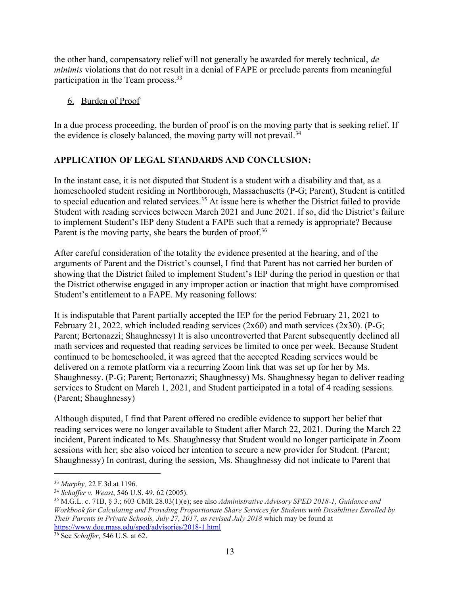the other hand, compensatory relief will not generally be awarded for merely technical, *de minimis* violations that do not result in a denial of FAPE or preclude parents from meaningful participation in the Team process.<sup>33</sup>

## 6. Burden of Proof

In a due process proceeding, the burden of proof is on the moving party that is seeking relief. If the evidence is closely balanced, the moving party will not prevail.<sup>34</sup>

# **APPLICATION OF LEGAL STANDARDS AND CONCLUSION:**

In the instant case, it is not disputed that Student is a student with a disability and that, as a homeschooled student residing in Northborough, Massachusetts (P-G; Parent), Student is entitled to special education and related services.<sup>35</sup> At issue here is whether the District failed to provide Student with reading services between March 2021 and June 2021. If so, did the District's failure to implement Student's IEP deny Student a FAPE such that a remedy is appropriate? Because Parent is the moving party, she bears the burden of proof.<sup>36</sup>

After careful consideration of the totality the evidence presented at the hearing, and of the arguments of Parent and the District's counsel, I find that Parent has not carried her burden of showing that the District failed to implement Student's IEP during the period in question or that the District otherwise engaged in any improper action or inaction that might have compromised Student's entitlement to a FAPE. My reasoning follows:

It is indisputable that Parent partially accepted the IEP for the period February 21, 2021 to February 21, 2022, which included reading services (2x60) and math services (2x30). (P-G; Parent; Bertonazzi; Shaughnessy) It is also uncontroverted that Parent subsequently declined all math services and requested that reading services be limited to once per week. Because Student continued to be homeschooled, it was agreed that the accepted Reading services would be delivered on a remote platform via a recurring Zoom link that was set up for her by Ms. Shaughnessy. (P-G; Parent; Bertonazzi; Shaughnessy) Ms. Shaughnessy began to deliver reading services to Student on March 1, 2021, and Student participated in a total of 4 reading sessions. (Parent; Shaughnessy)

Although disputed, I find that Parent offered no credible evidence to support her belief that reading services were no longer available to Student after March 22, 2021. During the March 22 incident, Parent indicated to Ms. Shaughnessy that Student would no longer participate in Zoom sessions with her; she also voiced her intention to secure a new provider for Student. (Parent; Shaughnessy) In contrast, during the session, Ms. Shaughnessy did not indicate to Parent that

<sup>33</sup> *Murphy,* 22 F.3d at 1196.

<sup>34</sup> *Schaffer v. Weast*, 546 U.S. 49, 62 (2005).

<sup>35</sup> M.G.L. c. 71B, § 3.; 603 CMR 28.03(1)(e); see also *Administrative Advisory SPED 2018-1, Guidance and Workbook for Calculating and Providing Proportionate Share Services for Students with Disabilities Enrolled by Their Parents in Private Schools, July 27, 2017, as revised July 2018* which may be found at <https://www.doe.mass.edu/sped/advisories/2018-1.html>

<sup>36</sup> See *Schaffer*, 546 U.S. at 62.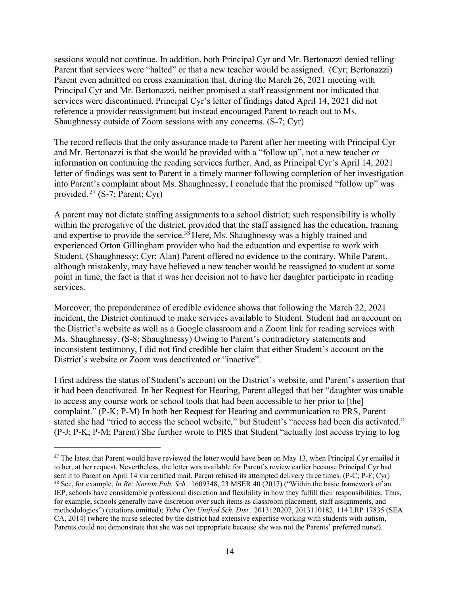sessions would not continue. In addition, both Principal Cyr and Mr. Bertonazzi denied telling Parent that services were "halted" or that a new teacher would be assigned. (Cyr; Bertonazzi) Parent even admitted on cross examination that, during the March 26, 2021 meeting with Principal Cyr and Mr. Bertonazzi, neither promised a staff reassignment nor indicated that services were discontinued. Principal Cyr's letter of findings dated April 14, 2021 did not reference a provider reassignment but instead encouraged Parent to reach out to Ms. Shaughnessy outside of Zoom sessions with any concerns. (S-7; Cyr)

The record reflects that the only assurance made to Parent after her meeting with Principal Cyr and Mr. Bertonazzi is that she would be provided with a "follow up", not a new teacher or information on continuing the reading services further. And, as Principal Cyr's April 14, 2021 letter of findings was sent to Parent in a timely manner following completion of her investigation into Parent's complaint about Ms. Shaughnessy, I conclude that the promised "follow up" was provided. <sup>37</sup> (S-7; Parent; Cyr)

A parent may not dictate staffing assignments to a school district; such responsibility is wholly within the prerogative of the district, provided that the staff assigned has the education, training and expertise to provide the service.<sup>38</sup> Here, Ms. Shaughnessy was a highly trained and experienced Orton Gillingham provider who had the education and expertise to work with Student. (Shaughnessy; Cyr; Alan) Parent offered no evidence to the contrary. While Parent, although mistakenly, may have believed a new teacher would be reassigned to student at some point in time, the fact is that it was her decision not to have her daughter participate in reading services.

Moreover, the preponderance of credible evidence shows that following the March 22, 2021 incident, the District continued to make services available to Student. Student had an account on the District's website as well as a Google classroom and a Zoom link for reading services with Ms. Shaughnessy. (S-8; Shaughnessy) Owing to Parent's contradictory statements and inconsistent testimony, I did not find credible her claim that either Student's account on the District's website or Zoom was deactivated or "inactive".

I first address the status of Student's account on the District's website, and Parent's assertion that it had been deactivated. In her Request for Hearing, Parent alleged that her "daughter was unable to access any course work or school tools that had been accessible to her prior to [the] complaint." (P-K; P-M) In both her Request for Hearing and communication to PRS, Parent stated she had "tried to access the school website," but Student's "access had been dis activated." (P-J; P-K; P-M; Parent) She further wrote to PRS that Student "actually lost access trying to log

<sup>&</sup>lt;sup>37</sup> The latest that Parent would have reviewed the letter would have been on May 13, when Principal Cyr emailed it to her, at her request. Nevertheless, the letter was available for Parent's review earlier because Principal Cyr had sent it to Parent on April 14 via certified mail. Parent refused its attempted delivery three times. (P-C; P-F; Cyr) <sup>38</sup> See, for example, *In Re: Norton Pub. Sch.,* 1609348, 23 MSER 40 (2017) ("Within the basic framework of an IEP, schools have considerable professional discretion and flexibility in how they fulfill their responsibilities. Thus, for example, schools generally have discretion over such items as classroom placement, staff assignments, and methodologies") (citations omitted); *Yuba City Unified Sch. Dist.,* 2013120207, 2013110182, 114 LRP 17835 (SEA CA, 2014) (where the nurse selected by the district had extensive expertise working with students with autism, Parents could not demonstrate that she was not appropriate because she was not the Parents' preferred nurse).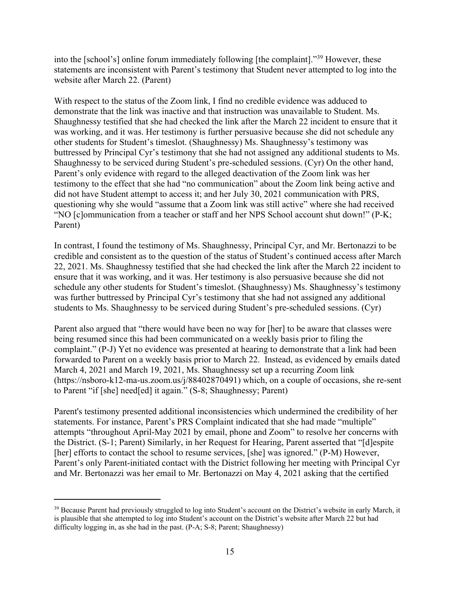into the [school's] online forum immediately following [the complaint]."<sup>39</sup> However, these statements are inconsistent with Parent's testimony that Student never attempted to log into the website after March 22. (Parent)

With respect to the status of the Zoom link, I find no credible evidence was adduced to demonstrate that the link was inactive and that instruction was unavailable to Student. Ms. Shaughnessy testified that she had checked the link after the March 22 incident to ensure that it was working, and it was. Her testimony is further persuasive because she did not schedule any other students for Student's timeslot. (Shaughnessy) Ms. Shaughnessy's testimony was buttressed by Principal Cyr's testimony that she had not assigned any additional students to Ms. Shaughnessy to be serviced during Student's pre-scheduled sessions. (Cyr) On the other hand, Parent's only evidence with regard to the alleged deactivation of the Zoom link was her testimony to the effect that she had "no communication" about the Zoom link being active and did not have Student attempt to access it; and her July 30, 2021 communication with PRS, questioning why she would "assume that a Zoom link was still active" where she had received "NO [c]ommunication from a teacher or staff and her NPS School account shut down!" (P-K; Parent)

In contrast, I found the testimony of Ms. Shaughnessy, Principal Cyr, and Mr. Bertonazzi to be credible and consistent as to the question of the status of Student's continued access after March 22, 2021. Ms. Shaughnessy testified that she had checked the link after the March 22 incident to ensure that it was working, and it was. Her testimony is also persuasive because she did not schedule any other students for Student's timeslot. (Shaughnessy) Ms. Shaughnessy's testimony was further buttressed by Principal Cyr's testimony that she had not assigned any additional students to Ms. Shaughnessy to be serviced during Student's pre-scheduled sessions. (Cyr)

Parent also argued that "there would have been no way for [her] to be aware that classes were being resumed since this had been communicated on a weekly basis prior to filing the complaint." (P-J) Yet no evidence was presented at hearing to demonstrate that a link had been forwarded to Parent on a weekly basis prior to March 22. Instead, as evidenced by emails dated March 4, 2021 and March 19, 2021, Ms. Shaughnessy set up a recurring Zoom link (https://nsboro-k12-ma-us.zoom.us/j/88402870491) which, on a couple of occasions, she re-sent to Parent "if [she] need[ed] it again." (S-8; Shaughnessy; Parent)

Parent's testimony presented additional inconsistencies which undermined the credibility of her statements. For instance, Parent's PRS Complaint indicated that she had made "multiple" attempts "throughout April-May 2021 by email, phone and Zoom" to resolve her concerns with the District. (S-1; Parent) Similarly, in her Request for Hearing, Parent asserted that "[d]espite [her] efforts to contact the school to resume services, [she] was ignored." (P-M) However, Parent's only Parent-initiated contact with the District following her meeting with Principal Cyr and Mr. Bertonazzi was her email to Mr. Bertonazzi on May 4, 2021 asking that the certified

<sup>&</sup>lt;sup>39</sup> Because Parent had previously struggled to log into Student's account on the District's website in early March, it is plausible that she attempted to log into Student's account on the District's website after March 22 but had difficulty logging in, as she had in the past. (P-A; S-8; Parent; Shaughnessy)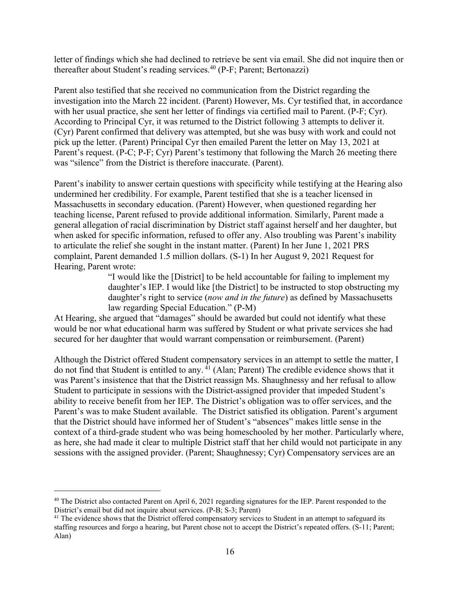letter of findings which she had declined to retrieve be sent via email. She did not inquire then or thereafter about Student's reading services.<sup>40</sup> (P-F; Parent; Bertonazzi)

Parent also testified that she received no communication from the District regarding the investigation into the March 22 incident. (Parent) However, Ms. Cyr testified that, in accordance with her usual practice, she sent her letter of findings via certified mail to Parent. (P-F; Cyr). According to Principal Cyr, it was returned to the District following 3 attempts to deliver it. (Cyr) Parent confirmed that delivery was attempted, but she was busy with work and could not pick up the letter. (Parent) Principal Cyr then emailed Parent the letter on May 13, 2021 at Parent's request. (P-C; P-F; Cyr) Parent's testimony that following the March 26 meeting there was "silence" from the District is therefore inaccurate. (Parent).

Parent's inability to answer certain questions with specificity while testifying at the Hearing also undermined her credibility. For example, Parent testified that she is a teacher licensed in Massachusetts in secondary education. (Parent) However, when questioned regarding her teaching license, Parent refused to provide additional information. Similarly, Parent made a general allegation of racial discrimination by District staff against herself and her daughter, but when asked for specific information, refused to offer any. Also troubling was Parent's inability to articulate the relief she sought in the instant matter. (Parent) In her June 1, 2021 PRS complaint, Parent demanded 1.5 million dollars. (S-1) In her August 9, 2021 Request for Hearing, Parent wrote:

> "I would like the [District] to be held accountable for failing to implement my daughter's IEP. I would like [the District] to be instructed to stop obstructing my daughter's right to service (*now and in the future*) as defined by Massachusetts law regarding Special Education." (P-M)

At Hearing, she argued that "damages" should be awarded but could not identify what these would be nor what educational harm was suffered by Student or what private services she had secured for her daughter that would warrant compensation or reimbursement. (Parent)

Although the District offered Student compensatory services in an attempt to settle the matter, I do not find that Student is entitled to any. <sup>41</sup> (Alan; Parent) The credible evidence shows that it was Parent's insistence that that the District reassign Ms. Shaughnessy and her refusal to allow Student to participate in sessions with the District-assigned provider that impeded Student's ability to receive benefit from her IEP. The District's obligation was to offer services, and the Parent's was to make Student available. The District satisfied its obligation. Parent's argument that the District should have informed her of Student's "absences" makes little sense in the context of a third-grade student who was being homeschooled by her mother. Particularly where, as here, she had made it clear to multiple District staff that her child would not participate in any sessions with the assigned provider. (Parent; Shaughnessy; Cyr) Compensatory services are an

 $40$  The District also contacted Parent on April 6, 2021 regarding signatures for the IEP. Parent responded to the District's email but did not inquire about services. (P-B; S-3; Parent)

<sup>&</sup>lt;sup>41</sup> The evidence shows that the District offered compensatory services to Student in an attempt to safeguard its staffing resources and forgo a hearing, but Parent chose not to accept the District's repeated offers. (S-11; Parent; Alan)